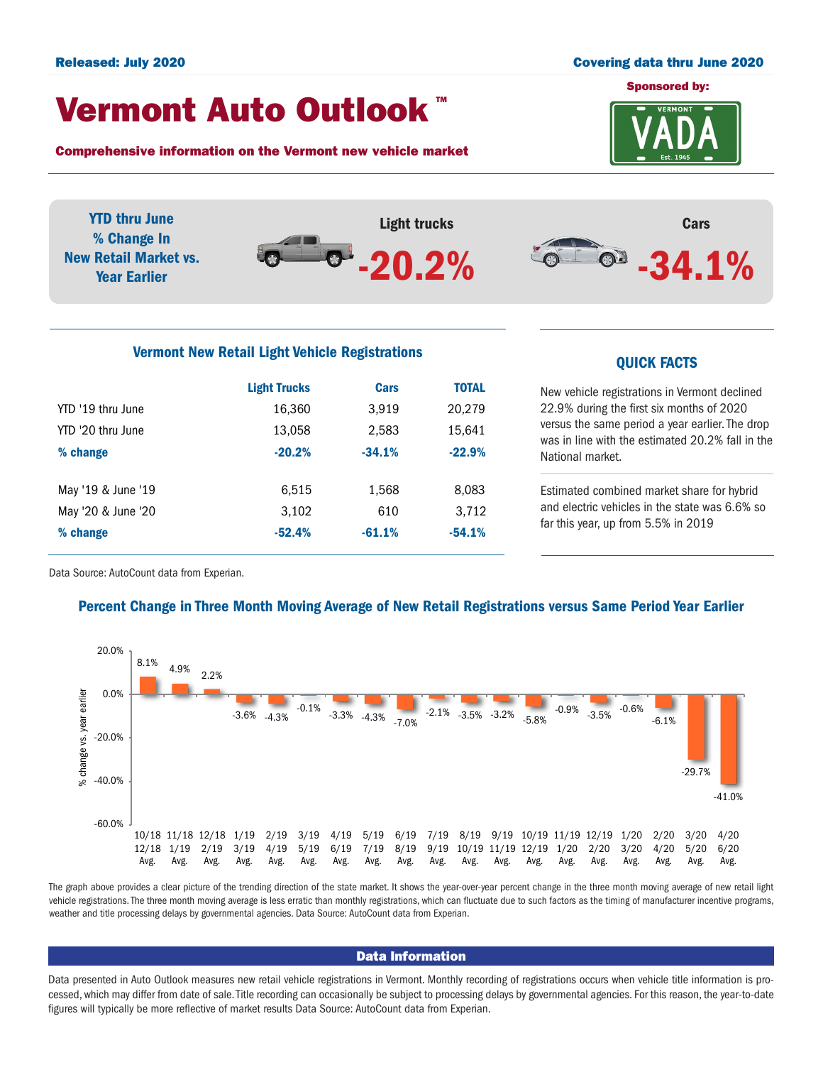### Released: July 2020 Covering data thru June 2020

## Vermont Auto Outlook TM

Comprehensive information on the Vermont new vehicle market



Light trucks  $-20.2%$ Cars  $-34.1%$ YTD thru June % Change In New Retail Market vs. Year Earlier

# Vermont New Retail Light Vehicle Registrations<br>
QUICK FACTS

|                    | <b>Light Trucks</b> | <b>Cars</b> | <b>TOTAL</b> |
|--------------------|---------------------|-------------|--------------|
| YTD '19 thru June  | 16,360              | 3,919       | 20,279       |
| YTD '20 thru June  | 13,058              | 2,583       | 15,641       |
| % change           | $-20.2%$            | $-34.1%$    | $-22.9%$     |
| May '19 & June '19 | 6,515               | 1,568       | 8,083        |
| May '20 & June '20 | 3,102               | 610         | 3,712        |
| % change           | $-52.4%$            | $-61.1%$    | $-54.1%$     |

New vehicle registrations in Vermont declined 22.9% during the first six months of 2020 versus the same period a year earlier. The drop was in line with the estimated 20.2% fall in the National market.

Estimated combined market share for hybrid and electric vehicles in the state was 6.6% so far this year, up from 5.5% in 2019

Data Source: AutoCount data from Experian.

### Percent Change in Three Month Moving Average of New Retail Registrations versus Same Period Year Earlier



The graph above provides a clear picture of the trending direction of the state market. It shows the year-over-year percent change in the three month moving average of new retail light vehicle registrations. The three month moving average is less erratic than monthly registrations, which can fluctuate due to such factors as the timing of manufacturer incentive programs, weather and title processing delays by governmental agencies. Data Source: AutoCount data from Experian.

### Data Information

Data presented in Auto Outlook measures new retail vehicle registrations in Vermont. Monthly recording of registrations occurs when vehicle title information is processed, which may differ from date of sale. Title recording can occasionally be subject to processing delays by governmental agencies. For this reason, the year-to-date figures will typically be more reflective of market results Data Source: AutoCount data from Experian.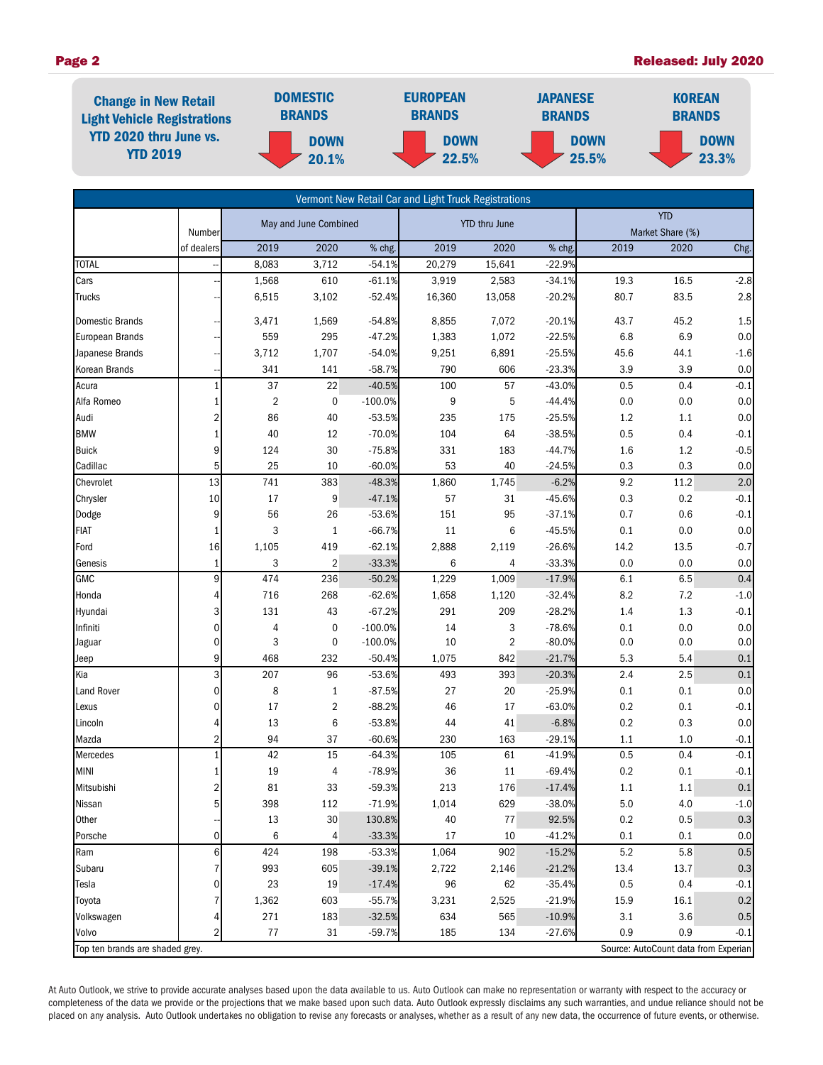### Page 2 **Page 2 Released: July 2020**

| <b>Change in New Retail</b><br><b>Light Vehicle Registrations</b><br><b>YTD 2020 thru June vs.</b><br><b>YTD 2019</b> | <b>DOMESTIC</b><br><b>BRANDS</b> | <b>EUROPEAN</b><br><b>BRANDS</b> | <b>JAPANESE</b><br><b>BRANDS</b> | <b>KOREAN</b><br><b>BRANDS</b> |  |
|-----------------------------------------------------------------------------------------------------------------------|----------------------------------|----------------------------------|----------------------------------|--------------------------------|--|
|                                                                                                                       | <b>DOWN</b><br>20.1%             | <b>DOWN</b><br>22.5%             | <b>DOWN</b><br>25.5%             | <b>DOWN</b><br>23.3%           |  |

|                                 |                |                       |                |                      | Vermont New Retail Car and Light Truck Registrations |            |          |      |                                      |         |
|---------------------------------|----------------|-----------------------|----------------|----------------------|------------------------------------------------------|------------|----------|------|--------------------------------------|---------|
|                                 |                | May and June Combined |                | <b>YTD thru June</b> |                                                      | <b>YTD</b> |          |      |                                      |         |
|                                 | Number         |                       |                |                      |                                                      |            |          |      | Market Share (%)                     |         |
|                                 | of dealers     | 2019                  | 2020           | % chg.               | 2019                                                 | 2020       | % chg.   | 2019 | 2020                                 | Chg.    |
| <b>TOTAL</b>                    |                | 8,083                 | 3,712          | $-54.1%$             | 20,279                                               | 15,641     | $-22.9%$ |      |                                      |         |
| Cars                            |                | 1,568                 | 610            | $-61.1%$             | 3,919                                                | 2,583      | $-34.1%$ | 19.3 | 16.5                                 | $-2.8$  |
| <b>Trucks</b>                   |                | 6,515                 | 3,102          | $-52.4%$             | 16,360                                               | 13,058     | $-20.2%$ | 80.7 | 83.5                                 | 2.8     |
| <b>Domestic Brands</b>          |                | 3,471                 | 1,569          | $-54.8%$             | 8,855                                                | 7,072      | $-20.1%$ | 43.7 | 45.2                                 | 1.5     |
| European Brands                 |                | 559                   | 295            | $-47.2%$             | 1,383                                                | 1,072      | $-22.5%$ | 6.8  | 6.9                                  | 0.0     |
| Japanese Brands                 |                | 3,712                 | 1,707          | $-54.0%$             | 9,251                                                | 6,891      | $-25.5%$ | 45.6 | 44.1                                 | $-1.6$  |
| <b>Korean Brands</b>            |                | 341                   | 141            | $-58.7%$             | 790                                                  | 606        | $-23.3%$ | 3.9  | 3.9                                  | 0.0     |
| Acura                           |                | 37                    | 22             | $-40.5%$             | 100                                                  | 57         | $-43.0%$ | 0.5  | 0.4                                  | $-0.1$  |
| Alfa Romeo                      | $\mathbf{1}$   | $\overline{2}$        | $\mathbf 0$    | $-100.0%$            | 9                                                    | 5          | $-44.4%$ | 0.0  | 0.0                                  | 0.0     |
| Audi                            | 2              | 86                    | 40             | $-53.5%$             | 235                                                  | 175        | $-25.5%$ | 1.2  | 1.1                                  | 0.0     |
| <b>BMW</b>                      | $\mathbf{1}$   | 40                    | 12             | $-70.0%$             | 104                                                  | 64         | $-38.5%$ | 0.5  | 0.4                                  | $-0.1$  |
| <b>Buick</b>                    | 9              | 124                   | $30\,$         | $-75.8%$             | 331                                                  | 183        | $-44.7%$ | 1.6  | $1.2\,$                              | $-0.5$  |
| Cadillac                        | 5              | 25                    | 10             | $-60.0%$             | 53                                                   | 40         | $-24.5%$ | 0.3  | 0.3                                  | 0.0     |
| Chevrolet                       | 13             | 741                   | 383            | $-48.3%$             | 1,860                                                | 1,745      | $-6.2%$  | 9.2  | 11.2                                 | 2.0     |
| Chrysler                        | 10             | $17\,$                | 9              | $-47.1%$             | 57                                                   | 31         | $-45.6%$ | 0.3  | $0.2\,$                              | $-0.1$  |
| Dodge                           | 9              | 56                    | 26             | $-53.6%$             | 151                                                  | 95         | $-37.1%$ | 0.7  | 0.6                                  | $-0.1$  |
| <b>FIAT</b>                     | $\mathbf{1}$   | 3                     | $\mathbf{1}$   | $-66.7%$             | 11                                                   | 6          | $-45.5%$ | 0.1  | 0.0                                  | $0.0\,$ |
| Ford                            | 16             | 1,105                 | 419            | $-62.1%$             | 2,888                                                | 2,119      | $-26.6%$ | 14.2 | 13.5                                 | $-0.7$  |
| Genesis                         | $\mathbf{1}$   | 3                     | $\overline{2}$ | $-33.3%$             | 6                                                    | 4          | $-33.3%$ | 0.0  | 0.0                                  | 0.0     |
| <b>GMC</b>                      | 9              | 474                   | 236            | $-50.2%$             | 1,229                                                | 1,009      | $-17.9%$ | 6.1  | 6.5                                  | 0.4     |
| Honda                           | 4              | 716                   | 268            | $-62.6%$             | 1,658                                                | 1,120      | $-32.4%$ | 8.2  | 7.2                                  | $-1.0$  |
| Hyundai                         | 3              | 131                   | 43             | $-67.2%$             | 291                                                  | 209        | $-28.2%$ | 1.4  | $1.3$                                | $-0.1$  |
| Infiniti                        | $\mathbf 0$    | 4                     | 0              | $-100.0%$            | 14                                                   | 3          | $-78.6%$ | 0.1  | 0.0                                  | 0.0     |
| Jaguar                          | $\mathbf 0$    | 3                     | 0              | $-100.0%$            | 10                                                   | 2          | $-80.0%$ | 0.0  | 0.0                                  | 0.0     |
| Jeep                            | 9              | 468                   | 232            | $-50.4%$             | 1,075                                                | 842        | $-21.7%$ | 5.3  | 5.4                                  | $0.1\,$ |
| Kia                             | 3              | 207                   | 96             | $-53.6%$             | 493                                                  | 393        | $-20.3%$ | 2.4  | 2.5                                  | 0.1     |
| Land Rover                      | $\Omega$       | 8                     | $\mathbf{1}$   | $-87.5%$             | 27                                                   | 20         | $-25.9%$ | 0.1  | 0.1                                  | 0.0     |
| Lexus                           | $\mathbf 0$    | 17                    | 2              | $-88.2%$             | 46                                                   | 17         | $-63.0%$ | 0.2  | 0.1                                  | $-0.1$  |
| Lincoln                         | 4              | 13                    | 6              | $-53.8%$             | 44                                                   | 41         | $-6.8%$  | 0.2  | 0.3                                  | 0.0     |
| Mazda                           | $\overline{2}$ | 94                    | 37             | $-60.6%$             | 230                                                  | 163        | $-29.1%$ | 1.1  | 1.0                                  | $-0.1$  |
| Mercedes                        |                | 42                    | 15             | $-64.3%$             | 105                                                  | 61         | $-41.9%$ | 0.5  | 0.4                                  | $-0.1$  |
| <b>MINI</b>                     |                | 19                    | $\overline{4}$ | $-78.9%$             | 36                                                   | 11         | $-69.4%$ | 0.2  | 0.1                                  | $-0.1$  |
| Mitsubishi                      | $\overline{2}$ | 81                    | 33             | $-59.3%$             | 213                                                  | 176        | $-17.4%$ | 1.1  | 1.1                                  | 0.1     |
| Nissan                          | 5              | 398                   | 112            | $-71.9%$             | 1,014                                                | 629        | $-38.0%$ | 5.0  | 4.0                                  | $-1.0$  |
| Other                           |                | 13                    | $30\,$         | 130.8%               | 40                                                   | 77         | 92.5%    | 0.2  | 0.5                                  | 0.3     |
| Porsche                         | 0              | 6                     | 4              | $-33.3%$             | 17                                                   | 10         | $-41.2%$ | 0.1  | 0.1                                  | 0.0     |
| Ram                             | 6              | 424                   | 198            | $-53.3%$             | 1,064                                                | 902        | $-15.2%$ | 5.2  | 5.8                                  | 0.5     |
| Subaru                          | 7              | 993                   | 605            | $-39.1%$             | 2,722                                                | 2,146      | $-21.2%$ | 13.4 | 13.7                                 | 0.3     |
| Tesla                           | 0              | 23                    | 19             | $-17.4%$             | 96                                                   | 62         | -35.4%   | 0.5  | 0.4                                  | $-0.1$  |
| Toyota                          | 7              | 1,362                 | 603            | $-55.7%$             | 3,231                                                | 2,525      | $-21.9%$ | 15.9 | 16.1                                 | 0.2     |
| Volkswagen                      | 4              | 271                   | 183            | $-32.5%$             | 634                                                  | 565        | $-10.9%$ | 3.1  | 3.6                                  | 0.5     |
| Volvo                           | 2              | $77 \,$               | 31             | $-59.7%$             | 185                                                  | 134        | $-27.6%$ | 0.9  | 0.9                                  | $-0.1$  |
| Top ten brands are shaded grey. |                |                       |                |                      |                                                      |            |          |      | Source: AutoCount data from Experian |         |

At Auto Outlook, we strive to provide accurate analyses based upon the data available to us. Auto Outlook can make no representation or warranty with respect to the accuracy or completeness of the data we provide or the projections that we make based upon such data. Auto Outlook expressly disclaims any such warranties, and undue reliance should not be placed on any analysis. Auto Outlook undertakes no obligation to revise any forecasts or analyses, whether as a result of any new data, the occurrence of future events, or otherwise.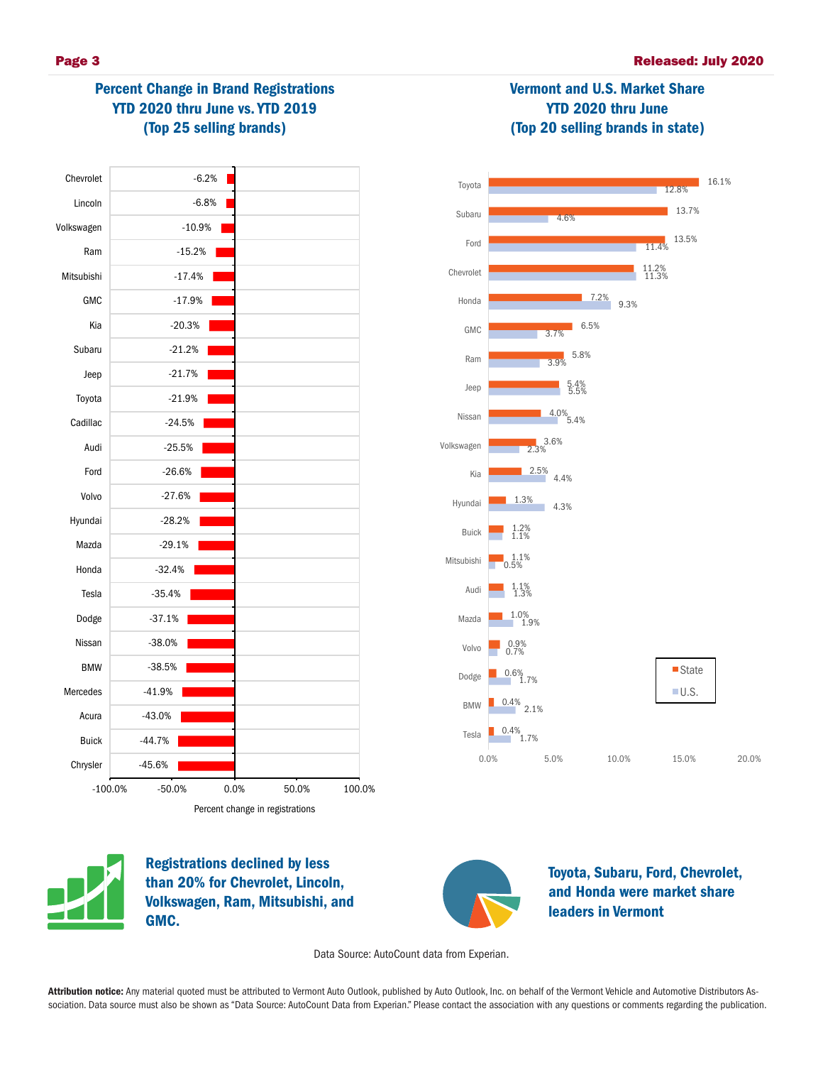# Percent Change in Brand Registrations YTD 2020 thru June vs. YTD 2019 (Top 25 selling brands)





Vermont and U.S. Market Share YTD 2020 thru June (Top 20 selling brands in state)

Registrations declined by less than 20% for Chevrolet, Lincoln, Volkswagen, Ram, Mitsubishi, and GMC.



Toyota, Subaru, Ford, Chevrolet, and Honda were market share leaders in Vermont

Data Source: AutoCount data from Experian.

Attribution notice: Any material quoted must be attributed to Vermont Auto Outlook, published by Auto Outlook, Inc. on behalf of the Vermont Vehicle and Automotive Distributors Association. Data source must also be shown as "Data Source: AutoCount Data from Experian." Please contact the association with any questions or comments regarding the publication.